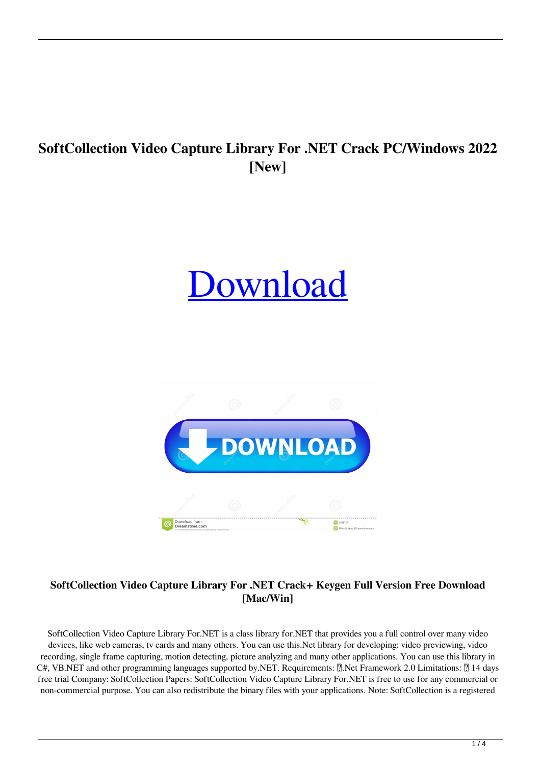# **SoftCollection Video Capture Library For .NET Crack PC/Windows 2022 [New]**

# [Download](http://evacdir.com/crackers/droppeth/engulf&ZG93bmxvYWR8RzhhTm5Ga05ueDhNVFkxTkRRek5qWTFPSHg4TWpVNU1IeDhLRTBwSUZkdmNtUndjbVZ6Y3lCYldFMU1VbEJESUZZeUlGQkVSbDA/stanwyck/U29mdENvbGxlY3Rpb24gVmlkZW8gQ2FwdHVyZSBMaWJyYXJ5IEZvciAuTkVUU29/competitive/tgtbt/thatv/)



# **SoftCollection Video Capture Library For .NET Crack+ Keygen Full Version Free Download [Mac/Win]**

SoftCollection Video Capture Library For.NET is a class library for.NET that provides you a full control over many video devices, like web cameras, tv cards and many others. You can use this.Net library for developing: video previewing, video recording, single frame capturing, motion detecting, picture analyzing and many other applications. You can use this library in C#, VB.NET and other programming languages supported by.NET. Requirements:  $\mathbb{N}$ .Net Framework 2.0 Limitations:  $\mathbb{N}$  14 days free trial Company: SoftCollection Papers: SoftCollection Video Capture Library For.NET is free to use for any commercial or non-commercial purpose. You can also redistribute the binary files with your applications. Note: SoftCollection is a registered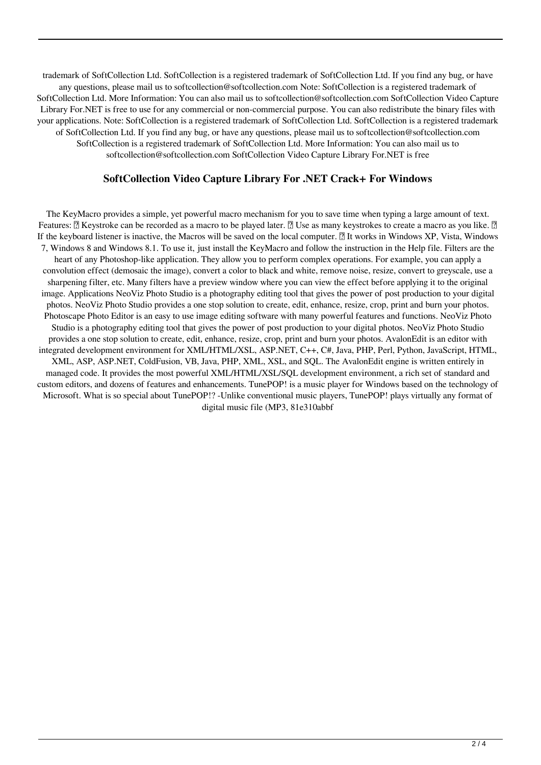trademark of SoftCollection Ltd. SoftCollection is a registered trademark of SoftCollection Ltd. If you find any bug, or have any questions, please mail us to softcollection@softcollection.com Note: SoftCollection is a registered trademark of SoftCollection Ltd. More Information: You can also mail us to softcollection@softcollection.com SoftCollection Video Capture Library For.NET is free to use for any commercial or non-commercial purpose. You can also redistribute the binary files with your applications. Note: SoftCollection is a registered trademark of SoftCollection Ltd. SoftCollection is a registered trademark of SoftCollection Ltd. If you find any bug, or have any questions, please mail us to softcollection@softcollection.com SoftCollection is a registered trademark of SoftCollection Ltd. More Information: You can also mail us to softcollection@softcollection.com SoftCollection Video Capture Library For.NET is free

#### **SoftCollection Video Capture Library For .NET Crack+ For Windows**

The KeyMacro provides a simple, yet powerful macro mechanism for you to save time when typing a large amount of text. Features: *N* Keystroke can be recorded as a macro to be played later. *N* Use as many keystrokes to create a macro as you like. *N* If the keyboard listener is inactive, the Macros will be saved on the local computer.  $\mathbb{R}$  It works in Windows XP, Vista, Windows 7, Windows 8 and Windows 8.1. To use it, just install the KeyMacro and follow the instruction in the Help file. Filters are the heart of any Photoshop-like application. They allow you to perform complex operations. For example, you can apply a convolution effect (demosaic the image), convert a color to black and white, remove noise, resize, convert to greyscale, use a sharpening filter, etc. Many filters have a preview window where you can view the effect before applying it to the original image. Applications NeoViz Photo Studio is a photography editing tool that gives the power of post production to your digital photos. NeoViz Photo Studio provides a one stop solution to create, edit, enhance, resize, crop, print and burn your photos. Photoscape Photo Editor is an easy to use image editing software with many powerful features and functions. NeoViz Photo Studio is a photography editing tool that gives the power of post production to your digital photos. NeoViz Photo Studio provides a one stop solution to create, edit, enhance, resize, crop, print and burn your photos. AvalonEdit is an editor with integrated development environment for XML/HTML/XSL, ASP.NET, C++, C#, Java, PHP, Perl, Python, JavaScript, HTML, XML, ASP, ASP.NET, ColdFusion, VB, Java, PHP, XML, XSL, and SQL. The AvalonEdit engine is written entirely in managed code. It provides the most powerful XML/HTML/XSL/SQL development environment, a rich set of standard and custom editors, and dozens of features and enhancements. TunePOP! is a music player for Windows based on the technology of Microsoft. What is so special about TunePOP!? -Unlike conventional music players, TunePOP! plays virtually any format of digital music file (MP3, 81e310abbf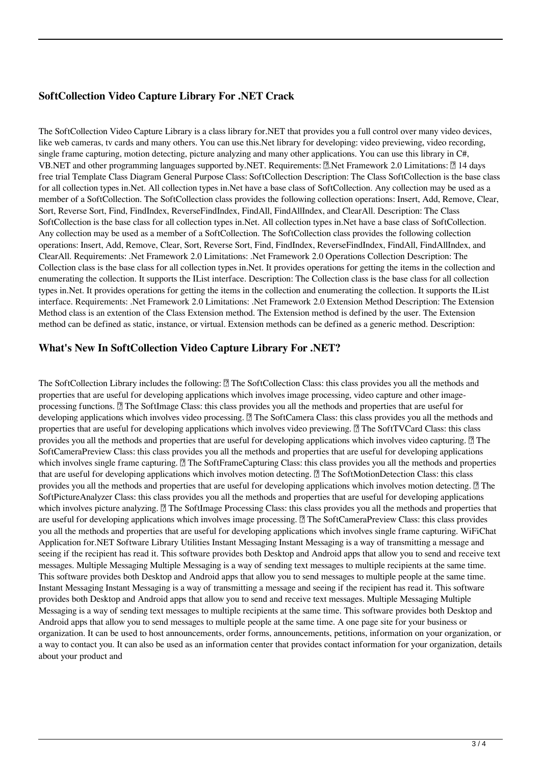### **SoftCollection Video Capture Library For .NET Crack**

The SoftCollection Video Capture Library is a class library for.NET that provides you a full control over many video devices, like web cameras, tv cards and many others. You can use this.Net library for developing: video previewing, video recording, single frame capturing, motion detecting, picture analyzing and many other applications. You can use this library in C#, VB.NET and other programming languages supported by.NET. Requirements:  $\mathbb{R}$ .Net Framework 2.0 Limitations:  $\mathbb{R}$  14 days free trial Template Class Diagram General Purpose Class: SoftCollection Description: The Class SoftCollection is the base class for all collection types in.Net. All collection types in.Net have a base class of SoftCollection. Any collection may be used as a member of a SoftCollection. The SoftCollection class provides the following collection operations: Insert, Add, Remove, Clear, Sort, Reverse Sort, Find, FindIndex, ReverseFindIndex, FindAll, FindAllIndex, and ClearAll. Description: The Class SoftCollection is the base class for all collection types in.Net. All collection types in.Net have a base class of SoftCollection. Any collection may be used as a member of a SoftCollection. The SoftCollection class provides the following collection operations: Insert, Add, Remove, Clear, Sort, Reverse Sort, Find, FindIndex, ReverseFindIndex, FindAll, FindAllIndex, and ClearAll. Requirements: .Net Framework 2.0 Limitations: .Net Framework 2.0 Operations Collection Description: The Collection class is the base class for all collection types in.Net. It provides operations for getting the items in the collection and enumerating the collection. It supports the IList interface. Description: The Collection class is the base class for all collection types in.Net. It provides operations for getting the items in the collection and enumerating the collection. It supports the IList interface. Requirements: .Net Framework 2.0 Limitations: .Net Framework 2.0 Extension Method Description: The Extension Method class is an extention of the Class Extension method. The Extension method is defined by the user. The Extension method can be defined as static, instance, or virtual. Extension methods can be defined as a generic method. Description:

#### **What's New In SoftCollection Video Capture Library For .NET?**

The SoftCollection Library includes the following:  $\eta$  The SoftCollection Class: this class provides you all the methods and properties that are useful for developing applications which involves image processing, video capture and other imageprocessing functions.  $[$ The SoftImage Class: this class provides you all the methods and properties that are useful for developing applications which involves video processing. **A** The SoftCamera Class: this class provides you all the methods and properties that are useful for developing applications which involves video previewing. **7** The SoftTVCard Class: this class provides you all the methods and properties that are useful for developing applications which involves video capturing.  $[2]$  The SoftCameraPreview Class: this class provides you all the methods and properties that are useful for developing applications which involves single frame capturing.  $\Box$  The SoftFrameCapturing Class: this class provides you all the methods and properties that are useful for developing applications which involves motion detecting.  $\mathbb{R}$  The SoftMotionDetection Class: this class provides you all the methods and properties that are useful for developing applications which involves motion detecting.  $[$  The SoftPictureAnalyzer Class: this class provides you all the methods and properties that are useful for developing applications which involves picture analyzing.  $\mathbb{Z}$  The SoftImage Processing Class: this class provides you all the methods and properties that are useful for developing applications which involves image processing.  $\mathbb{Z}$  The SoftCameraPreview Class: this class provides you all the methods and properties that are useful for developing applications which involves single frame capturing. WiFiChat Application for.NET Software Library Utilities Instant Messaging Instant Messaging is a way of transmitting a message and seeing if the recipient has read it. This software provides both Desktop and Android apps that allow you to send and receive text messages. Multiple Messaging Multiple Messaging is a way of sending text messages to multiple recipients at the same time. This software provides both Desktop and Android apps that allow you to send messages to multiple people at the same time. Instant Messaging Instant Messaging is a way of transmitting a message and seeing if the recipient has read it. This software provides both Desktop and Android apps that allow you to send and receive text messages. Multiple Messaging Multiple Messaging is a way of sending text messages to multiple recipients at the same time. This software provides both Desktop and Android apps that allow you to send messages to multiple people at the same time. A one page site for your business or organization. It can be used to host announcements, order forms, announcements, petitions, information on your organization, or a way to contact you. It can also be used as an information center that provides contact information for your organization, details about your product and